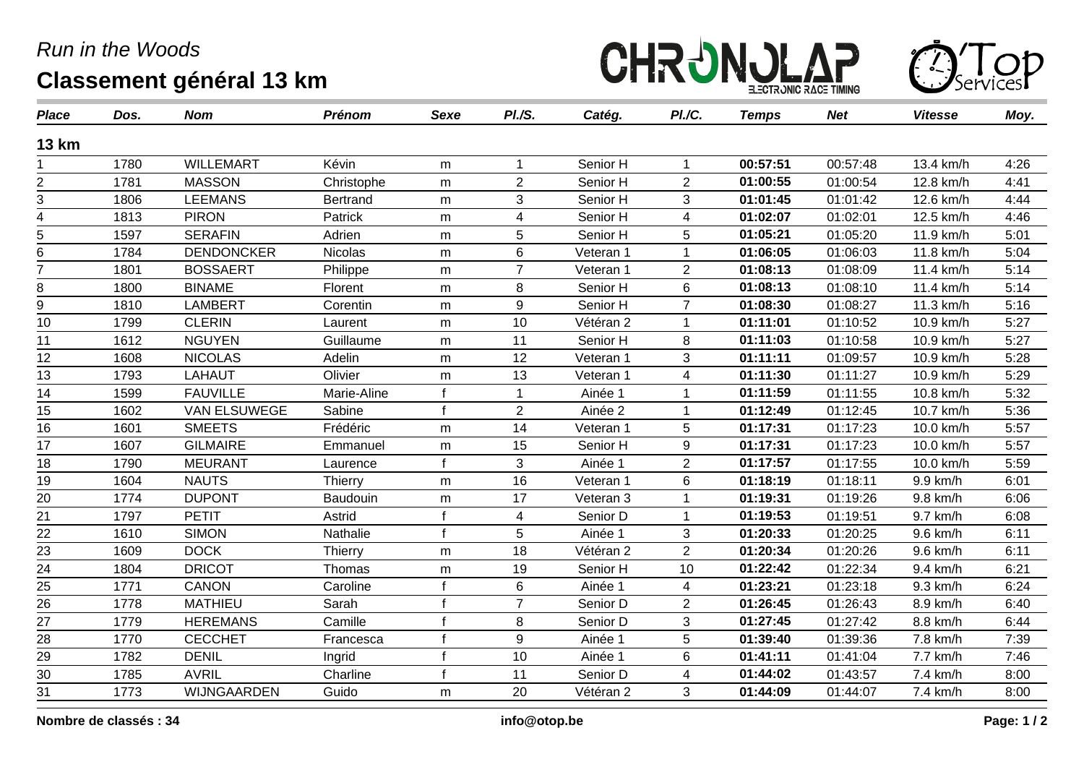## *Run in the Woods* **Classement général 13 km**





| <b>Place</b>    | Dos. | <b>Nom</b>          | <b>Prénom</b>  | Sexe         | PI.S.          | Catég.    | PI./C.         | <b>Temps</b> | <b>Net</b> | <b>Vitesse</b> | Moy. |
|-----------------|------|---------------------|----------------|--------------|----------------|-----------|----------------|--------------|------------|----------------|------|
| <b>13 km</b>    |      |                     |                |              |                |           |                |              |            |                |      |
|                 | 1780 | <b>WILLEMART</b>    | Kévin          | m            |                | Senior H  |                | 00:57:51     | 00:57:48   | 13.4 km/h      | 4:26 |
| $\overline{2}$  | 1781 | <b>MASSON</b>       | Christophe     | m            | $\overline{2}$ | Senior H  | $\overline{2}$ | 01:00:55     | 01:00:54   | 12.8 km/h      | 4:41 |
| 3               | 1806 | <b>LEEMANS</b>      | Bertrand       | m            | 3              | Senior H  | 3              | 01:01:45     | 01:01:42   | 12.6 km/h      | 4:44 |
| 4               | 1813 | <b>PIRON</b>        | Patrick        | m            | 4              | Senior H  | 4              | 01:02:07     | 01:02:01   | 12.5 km/h      | 4:46 |
| 5               | 1597 | <b>SERAFIN</b>      | Adrien         | m            | 5              | Senior H  | 5              | 01:05:21     | 01:05:20   | 11.9 km/h      | 5:01 |
| 6               | 1784 | <b>DENDONCKER</b>   | <b>Nicolas</b> | m            | 6              | Veteran 1 | 1              | 01:06:05     | 01:06:03   | 11.8 km/h      | 5:04 |
| $\overline{7}$  | 1801 | <b>BOSSAERT</b>     | Philippe       | m            | $\overline{7}$ | Veteran 1 | $\overline{2}$ | 01:08:13     | 01:08:09   | 11.4 km/h      | 5:14 |
| 8               | 1800 | <b>BINAME</b>       | Florent        | m            | 8              | Senior H  | 6              | 01:08:13     | 01:08:10   | 11.4 km/h      | 5:14 |
| 9               | 1810 | <b>LAMBERT</b>      | Corentin       | m            | 9              | Senior H  | $\overline{7}$ | 01:08:30     | 01:08:27   | 11.3 km/h      | 5:16 |
| 10              | 1799 | <b>CLERIN</b>       | Laurent        | m            | 10             | Vétéran 2 |                | 01:11:01     | 01:10:52   | 10.9 km/h      | 5:27 |
| 11              | 1612 | <b>NGUYEN</b>       | Guillaume      | m            | 11             | Senior H  | 8              | 01:11:03     | 01:10:58   | 10.9 km/h      | 5:27 |
| 12              | 1608 | <b>NICOLAS</b>      | Adelin         | m            | 12             | Veteran 1 | 3              | 01:11:11     | 01:09:57   | 10.9 km/h      | 5:28 |
| 13              | 1793 | <b>LAHAUT</b>       | Olivier        | ${\sf m}$    | 13             | Veteran 1 | 4              | 01:11:30     | 01:11:27   | 10.9 km/h      | 5:29 |
| 14              | 1599 | <b>FAUVILLE</b>     | Marie-Aline    | f            |                | Ainée 1   |                | 01:11:59     | 01:11:55   | 10.8 km/h      | 5:32 |
| 15              | 1602 | <b>VAN ELSUWEGE</b> | Sabine         | $\mathbf{f}$ | $\overline{2}$ | Ainée 2   |                | 01:12:49     | 01:12:45   | 10.7 km/h      | 5:36 |
| 16              | 1601 | <b>SMEETS</b>       | Frédéric       | m            | 14             | Veteran 1 | 5              | 01:17:31     | 01:17:23   | 10.0 km/h      | 5:57 |
| 17              | 1607 | <b>GILMAIRE</b>     | Emmanuel       | m            | 15             | Senior H  | 9              | 01:17:31     | 01:17:23   | 10.0 km/h      | 5:57 |
| 18              | 1790 | <b>MEURANT</b>      | Laurence       | $\mathbf{f}$ | 3              | Ainée 1   | $\overline{2}$ | 01:17:57     | 01:17:55   | 10.0 km/h      | 5:59 |
| 19              | 1604 | <b>NAUTS</b>        | Thierry        | ${\sf m}$    | 16             | Veteran 1 | 6              | 01:18:19     | 01:18:11   | 9.9 km/h       | 6:01 |
| 20              | 1774 | <b>DUPONT</b>       | Baudouin       | m            | 17             | Veteran 3 |                | 01:19:31     | 01:19:26   | 9.8 km/h       | 6:06 |
| 21              | 1797 | <b>PETIT</b>        | Astrid         | f            | $\overline{4}$ | Senior D  |                | 01:19:53     | 01:19:51   | 9.7 km/h       | 6:08 |
| 22              | 1610 | <b>SIMON</b>        | Nathalie       | $\epsilon$   | 5              | Ainée 1   | 3              | 01:20:33     | 01:20:25   | 9.6 km/h       | 6:11 |
| $\overline{23}$ | 1609 | <b>DOCK</b>         | Thierry        | m            | 18             | Vétéran 2 | $\overline{2}$ | 01:20:34     | 01:20:26   | 9.6 km/h       | 6:11 |
| $\overline{24}$ | 1804 | <b>DRICOT</b>       | Thomas         | m            | 19             | Senior H  | 10             | 01:22:42     | 01:22:34   | 9.4 km/h       | 6:21 |
| $\frac{25}{1}$  | 1771 | <b>CANON</b>        | Caroline       |              | 6              | Ainée 1   | 4              | 01:23:21     | 01:23:18   | 9.3 km/h       | 6:24 |
| 26              | 1778 | <b>MATHIEU</b>      | Sarah          | f            | $\overline{7}$ | Senior D  | $\overline{2}$ | 01:26:45     | 01:26:43   | 8.9 km/h       | 6:40 |
| 27              | 1779 | <b>HEREMANS</b>     | Camille        |              | 8              | Senior D  | 3              | 01:27:45     | 01:27:42   | 8.8 km/h       | 6:44 |
| 28              | 1770 | <b>CECCHET</b>      | Francesca      |              | 9              | Ainée 1   | 5              | 01:39:40     | 01:39:36   | 7.8 km/h       | 7:39 |
| $\frac{29}{30}$ | 1782 | <b>DENIL</b>        | Ingrid         |              | 10             | Ainée 1   | 6              | 01:41:11     | 01:41:04   | 7.7 km/h       | 7:46 |
|                 | 1785 | <b>AVRIL</b>        | Charline       |              | 11             | Senior D  | 4              | 01:44:02     | 01:43:57   | 7.4 km/h       | 8:00 |
| $\overline{31}$ | 1773 | WIJNGAARDEN         | Guido          | m            | 20             | Vétéran 2 | 3              | 01:44:09     | 01:44:07   | 7.4 km/h       | 8:00 |